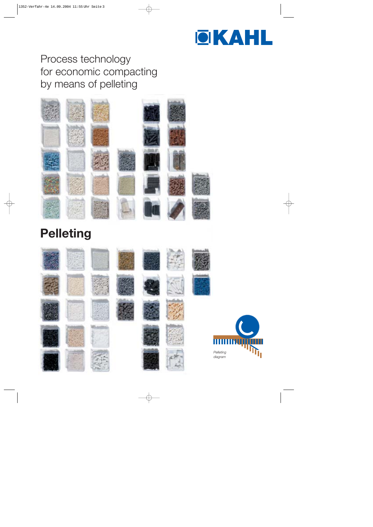

## Process technology for economic compacting by means of pelleting



# **Pelleting**

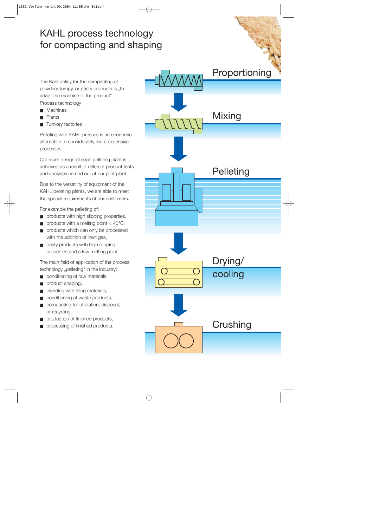### KAHL process technology for compacting and shaping

The Kahl policy for the compacting of powdery, lumpy, or pasty products is "to adapt the machine to the product". Process technology

- Machines
- **Plants**
- Turnkey factories

Pelleting with KAHL presses is an economic alternative to considerably more expensive processes.

Optimum design of each pelleting plant is achieved as a result of different product tests and analyses carried out at our pilot plant.

Due to the versatility of equipment of the KAHL pelleting plants, we are able to meet the special requirements of our customers.

For example the pelleting of:

- products with high slipping properties,
- $\blacksquare$  products with a melting point < 40 $^{\circ}$ C
- products which can only be processed with the addition of inert gas,
- pasty products with high slipping properties and a low melting point.

The main field of application of the process technology "pelleting" in the industry:

- conditioning of raw materials,
- product shaping,
- blending with filling materials,
- conditioning of waste products,
- compacting for utilization, disposal, or recycling,
- production of finished products,
- processing of finished products.

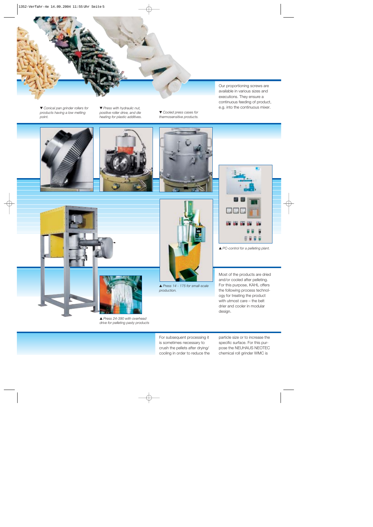

▼ Conical pan grinder rollers for *products having a low melting point.*

- *Press with hydraulic nut, positive roller drive, and die heating for plastic additives.*

- *Cooled press cases for thermosensitive products.* Our proportioning screws are available in various sizes and executions. They ensure a continuous feeding of product, e.g. into the continuous mixer.









 *Press 24-390 with overhead drive for pelleting pasty products*



 *Press 14 - 175 for small-scale production.*



*PC-control for a pelleting plant.*

Most of the products are dried and/or cooled after pelleting. For this purpose, KAHL offers the following process technology for treating the product with utmost care – the belt drier and cooler in modular design.

For subsequent processing it is sometimes necessary to crush the pellets after drying/ cooling in order to reduce the particle size or to increase the specific surface. For this purpose the NEUHAUS NEOTEC chemical roll grinder WMC is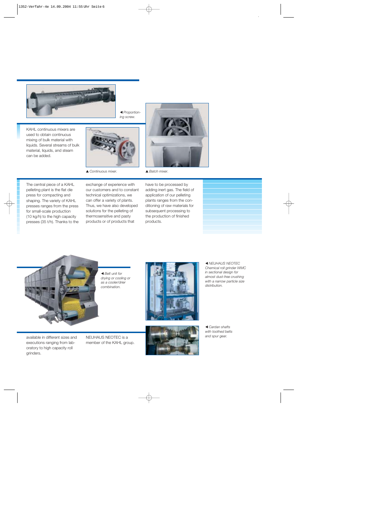

 *Proportioning screw.*

KAHL continuous mixers are used to obtain continuous mixing of bulk material with liquids. Several streams of bulk material, liquids, and steam can be added.



▲ Continuous mixer. **▲ Batch mixer.** 



The central piece of a KAHL pelleting plant is the flat die press for compacting and shaping. The variety of KAHL presses ranges from the press for small-scale production (10 kg/h) to the high capacity presses (35 t/h). Thanks to the

exchange of experience with our customers and to constant technical optimizations, we can offer a variety of plants. Thus, we have also developed solutions for the pelleting of thermosensitive and pasty products or of products that

have to be processed by adding inert gas. The field of application of our pelleting plants ranges from the conditioning of raw materials for subsequent processing to the production of finished products.



 *Belt unit for drying or cooling or as a cooler/drier combination.*



 *NEUHAUS NEOTEC Chemical roll grinder WMC in sectional design for almost dust-free crushing with a narrow particle size distribution.*

 *Cardan shafts with toothed belts and spur gear.*

available in different sizes and executions ranging from laboratory to high capacity roll grinders.

NEUHAUS NEOTEC is a member of the KAHL group.

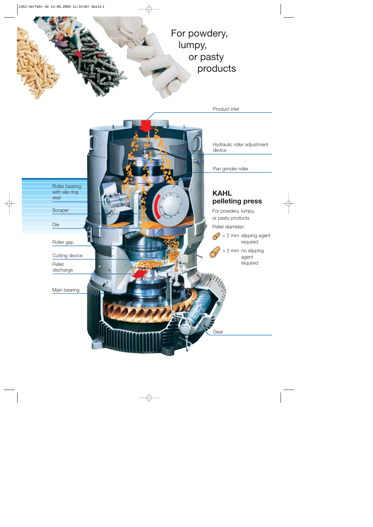### For powdery, lumpy, or pasty products

Product inlet

Hydraulic roller adjustment device

Pan grinder roller

### **KAHL pelleting press**

For powdery, lumpy, or pasty products.

Pellet diameter:

Gear

< 2 mm slipping agent required

> 2 mm no slipping agent required

Roller bearing with slip ring seal

**Scraper** 

Die

Roller gap

Cutting device

Pellet discharge

Main bearing